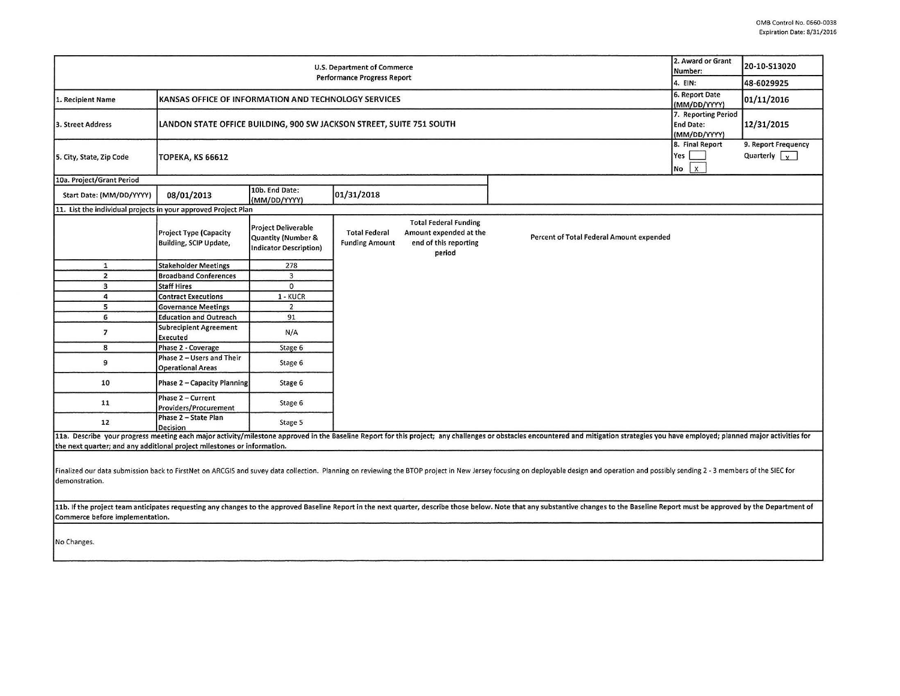| U.S. Department of Commerce<br>Performance Progress Report                                                                                                                                                                                                        |                                                                                                                                 |                                                                                   |                                               |                                                                                           |                                                                                                                                                                                                                                | 2. Award or Grant<br>Number:<br>4. EIN: | 20-10-S13020<br>48-6029925                  |
|-------------------------------------------------------------------------------------------------------------------------------------------------------------------------------------------------------------------------------------------------------------------|---------------------------------------------------------------------------------------------------------------------------------|-----------------------------------------------------------------------------------|-----------------------------------------------|-------------------------------------------------------------------------------------------|--------------------------------------------------------------------------------------------------------------------------------------------------------------------------------------------------------------------------------|-----------------------------------------|---------------------------------------------|
| KANSAS OFFICE OF INFORMATION AND TECHNOLOGY SERVICES<br>1. Recipient Name                                                                                                                                                                                         |                                                                                                                                 |                                                                                   |                                               |                                                                                           |                                                                                                                                                                                                                                | 6. Report Date<br>(MM/DD/YYYY)          | 01/11/2016                                  |
| 3. Street Address                                                                                                                                                                                                                                                 | 7. Reporting Period<br>LANDON STATE OFFICE BUILDING, 900 SW JACKSON STREET, SUITE 751 SOUTH<br><b>End Date:</b><br>(MM/DD/YYYY) |                                                                                   |                                               |                                                                                           |                                                                                                                                                                                                                                |                                         | 12/31/2015                                  |
| 5. City, State, Zip Code                                                                                                                                                                                                                                          | 8. Final Report<br>Yes<br><b>TOPEKA, KS 66612</b><br>No                                                                         |                                                                                   |                                               |                                                                                           |                                                                                                                                                                                                                                |                                         | 9. Report Frequency<br>Quarterly $\sqrt{x}$ |
| 10a. Project/Grant Period                                                                                                                                                                                                                                         |                                                                                                                                 |                                                                                   |                                               |                                                                                           |                                                                                                                                                                                                                                |                                         |                                             |
| Start Date: (MM/DD/YYYY)                                                                                                                                                                                                                                          | 08/01/2013                                                                                                                      | 10b. End Date:<br>(MM/DD/YYYY)                                                    | 01/31/2018                                    |                                                                                           |                                                                                                                                                                                                                                |                                         |                                             |
| 11. List the individual projects in your approved Project Plan                                                                                                                                                                                                    |                                                                                                                                 |                                                                                   |                                               |                                                                                           |                                                                                                                                                                                                                                |                                         |                                             |
|                                                                                                                                                                                                                                                                   | Project Type (Capacity<br>Building, SCIP Update,                                                                                | <b>Project Deliverable</b><br>Quantity (Number &<br><b>Indicator Description)</b> | <b>Total Federal</b><br><b>Funding Amount</b> | <b>Total Federal Funding</b><br>Amount expended at the<br>end of this reporting<br>period | Percent of Total Federal Amount expended                                                                                                                                                                                       |                                         |                                             |
| $\mathbf{1}$                                                                                                                                                                                                                                                      | <b>Stakeholder Meetings</b>                                                                                                     | 278                                                                               |                                               |                                                                                           |                                                                                                                                                                                                                                |                                         |                                             |
| $\overline{2}$                                                                                                                                                                                                                                                    | <b>Broadband Conferences</b>                                                                                                    | $\overline{\mathbf{3}}$                                                           |                                               |                                                                                           |                                                                                                                                                                                                                                |                                         |                                             |
| $\overline{\mathbf{3}}$                                                                                                                                                                                                                                           | <b>Staff Hires</b>                                                                                                              | $\mathbf 0$                                                                       |                                               |                                                                                           |                                                                                                                                                                                                                                |                                         |                                             |
| $\overline{a}$                                                                                                                                                                                                                                                    | <b>Contract Executions</b>                                                                                                      | 1 - KUCR                                                                          |                                               |                                                                                           |                                                                                                                                                                                                                                |                                         |                                             |
| 5                                                                                                                                                                                                                                                                 | <b>Governance Meetings</b>                                                                                                      | $\overline{2}$                                                                    |                                               |                                                                                           |                                                                                                                                                                                                                                |                                         |                                             |
| 6                                                                                                                                                                                                                                                                 | <b>Education and Outreach</b>                                                                                                   | 91                                                                                |                                               |                                                                                           |                                                                                                                                                                                                                                |                                         |                                             |
| $\overline{7}$                                                                                                                                                                                                                                                    | <b>Subrecipient Agreement</b><br>Executed                                                                                       | N/A                                                                               |                                               |                                                                                           |                                                                                                                                                                                                                                |                                         |                                             |
| 8                                                                                                                                                                                                                                                                 | Phase 2 - Coverage                                                                                                              | Stage 6                                                                           |                                               |                                                                                           |                                                                                                                                                                                                                                |                                         |                                             |
| 9                                                                                                                                                                                                                                                                 | Phase 2 - Users and Their<br><b>Operational Areas</b>                                                                           | Stage 6                                                                           |                                               |                                                                                           |                                                                                                                                                                                                                                |                                         |                                             |
| 10                                                                                                                                                                                                                                                                | <b>Phase 2 - Capacity Planning</b>                                                                                              | Stage 6                                                                           |                                               |                                                                                           |                                                                                                                                                                                                                                |                                         |                                             |
| 11                                                                                                                                                                                                                                                                | Phase 2 - Current<br>Providers/Procurement                                                                                      | Stage 6                                                                           |                                               |                                                                                           |                                                                                                                                                                                                                                |                                         |                                             |
| 12                                                                                                                                                                                                                                                                | Phase 2 - State Plan<br>Decision                                                                                                | Stage 5                                                                           |                                               |                                                                                           |                                                                                                                                                                                                                                |                                         |                                             |
| the next quarter; and any additional project milestones or information.                                                                                                                                                                                           |                                                                                                                                 |                                                                                   |                                               |                                                                                           | 11a. Describe your progress meeting each major activity/milestone approved in the Baseline Report for this project; any challenges or obstacles encountered and mitigation strategies you have employed; planned major activit |                                         |                                             |
| Finalized our data submission back to FirstNet on ARCGIS and suvey data collection. Planning on reviewing the BTOP project in New Jersey focusing on deployable design and operation and possibly sending 2 - 3 members of the<br>demonstration.                  |                                                                                                                                 |                                                                                   |                                               |                                                                                           |                                                                                                                                                                                                                                |                                         |                                             |
| 11b. If the project team anticipates requesting any changes to the approved Baseline Report in the next quarter, describe those below. Note that any substantive changes to the Baseline Report must be approved by the Depart<br>Commerce before implementation. |                                                                                                                                 |                                                                                   |                                               |                                                                                           |                                                                                                                                                                                                                                |                                         |                                             |
| No Changes.                                                                                                                                                                                                                                                       |                                                                                                                                 |                                                                                   |                                               |                                                                                           |                                                                                                                                                                                                                                |                                         |                                             |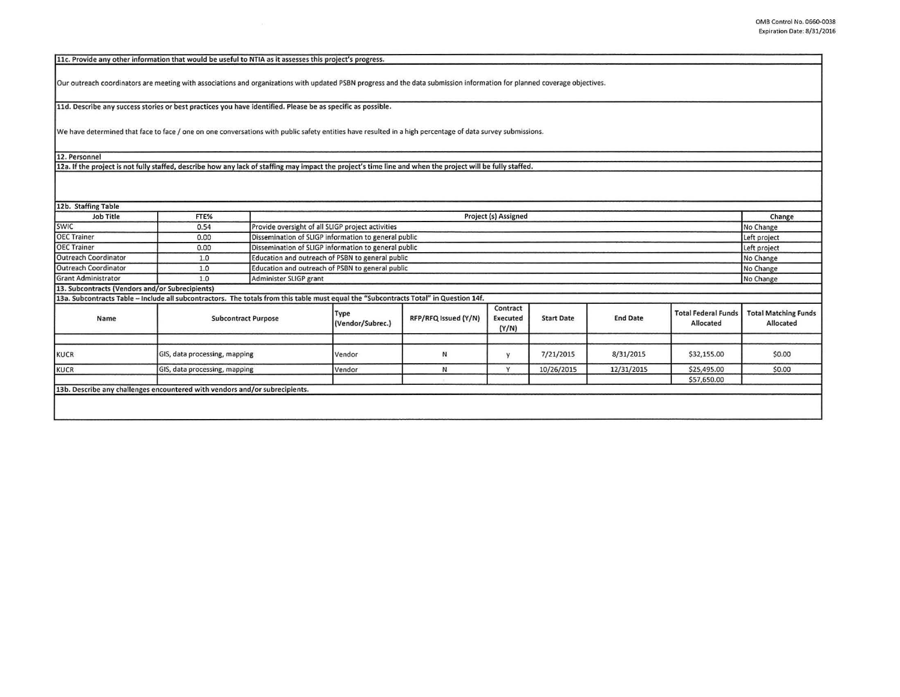|  | 11c. Provide any other information that would be useful to NTIA as it assesses this project's progress. |  |
|--|---------------------------------------------------------------------------------------------------------|--|
|--|---------------------------------------------------------------------------------------------------------|--|

Our outreach coordinators are meeting with associations and organizations with updated PSBN progress and the data submission information for planned coverage objectives.

lld. Describe any success stories or best practices you have identified. Please be as specific as possible.

We have determined that face to face / one on one conversations with public safety entities have resulted in a high percentage of data survey submissions.

12. Personnel

12a. If the project is not fully staffed, describe how any lack of staffing may impact the project's time line and when the project will be fully staffed.

12b. Staffing Table

| Job Title                                       | FTE%                                                                                                                                  | Project (s) Assigned       |                                                               |                      |                                      |                   |                 | Change                                  |                                          |
|-------------------------------------------------|---------------------------------------------------------------------------------------------------------------------------------------|----------------------------|---------------------------------------------------------------|----------------------|--------------------------------------|-------------------|-----------------|-----------------------------------------|------------------------------------------|
| <b>SWIC</b>                                     | 0.54                                                                                                                                  |                            | Provide oversight of all SLIGP project activities             |                      |                                      |                   |                 |                                         | No Change                                |
| <b>OEC Trainer</b>                              | 0.00                                                                                                                                  |                            | Dissemination of SLIGP information to general public          |                      |                                      |                   |                 |                                         | Left project                             |
| <b>OEC Trainer</b>                              | 0.00                                                                                                                                  |                            | Dissemination of SLIGP information to general public          |                      |                                      |                   |                 |                                         | Left project                             |
| Outreach Coordinator                            | 1.0                                                                                                                                   |                            | Education and outreach of PSBN to general public              |                      |                                      |                   |                 |                                         |                                          |
| Outreach Coordinator                            | 1.0                                                                                                                                   |                            | Education and outreach of PSBN to general public<br>No Change |                      |                                      |                   |                 |                                         |                                          |
| <b>Grant Administrator</b>                      | 1.0                                                                                                                                   | Administer SLIGP grant     | No Change                                                     |                      |                                      |                   |                 |                                         |                                          |
| 13. Subcontracts (Vendors and/or Subrecipients) |                                                                                                                                       |                            |                                                               |                      |                                      |                   |                 |                                         |                                          |
|                                                 | 13a. Subcontracts Table - Include all subcontractors. The totals from this table must equal the "Subcontracts Total" in Question 14f. |                            |                                                               |                      |                                      |                   |                 |                                         |                                          |
| Name                                            |                                                                                                                                       | <b>Subcontract Purpose</b> |                                                               | RFP/RFQ Issued (Y/N) | Contract<br><b>Executed</b><br>(Y/N) | <b>Start Date</b> | <b>End Date</b> | <b>Total Federal Fund:</b><br>Allocated | <b>Total Matching Funds</b><br>Allocated |
| KUCR                                            | GIS, data processing, mapping                                                                                                         |                            | Vendor                                                        | И                    | $\mathbf v$                          | 7/21/2015         | 8/31/2015       | \$32,155.00                             | \$0.00                                   |
| KUCR                                            | GIS, data processing, mapping                                                                                                         |                            | Vendor                                                        | N                    | $\vee$                               | 10/26/2015        | 12/31/2015      | \$25,495.00<br>\$57,650.00              | \$0.00                                   |
|                                                 | 13b. Describe any challenges encountered with vendors and/or subrecipients.                                                           |                            |                                                               |                      |                                      |                   |                 |                                         |                                          |
|                                                 |                                                                                                                                       |                            |                                                               |                      |                                      |                   |                 |                                         |                                          |
|                                                 |                                                                                                                                       |                            |                                                               |                      |                                      |                   |                 |                                         |                                          |
|                                                 |                                                                                                                                       |                            |                                                               |                      |                                      |                   |                 |                                         |                                          |